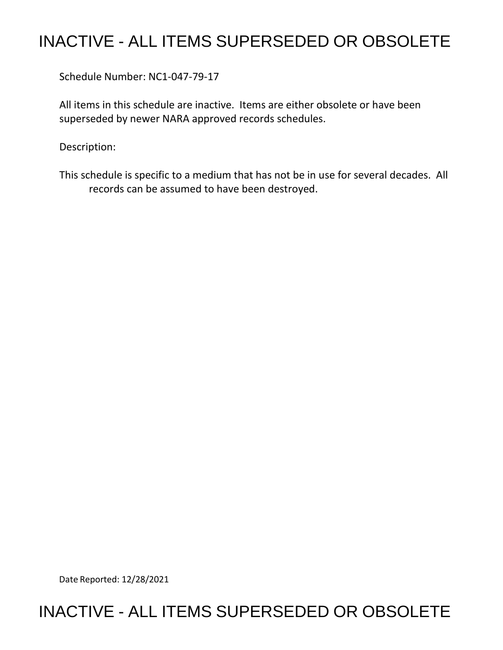## INACTIVE - ALL ITEMS SUPERSEDED OR OBSOLETE

Schedule Number: NC1-047-79-17

 All items in this schedule are inactive. Items are either obsolete or have been superseded by newer NARA approved records schedules.

Description:

 This schedule is specific to a medium that has not be in use for several decades. All records can be assumed to have been destroyed.

Date Reported: 12/28/2021

## INACTIVE - ALL ITEMS SUPERSEDED OR OBSOLETE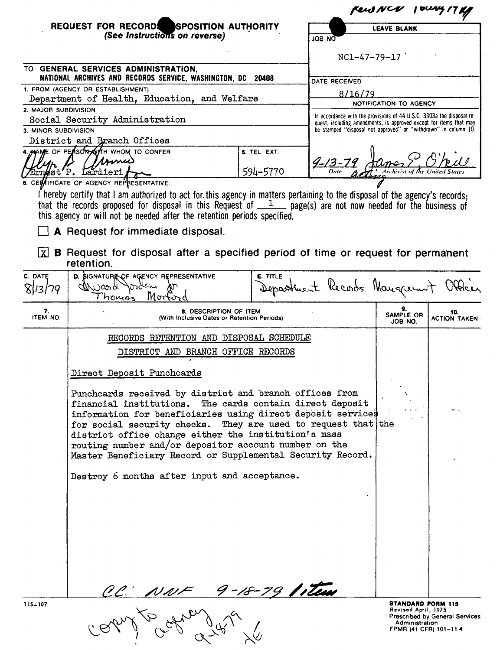| REQUEST FOR RECORDS SPOSITION AUTHORITY<br>(See Instructions on reverse)<br><b>JOB NO</b>                                                                                                |                                                                                                                     |                 |                                                                                                                                             | Rend NCV 1000417Kg                              |                     |
|------------------------------------------------------------------------------------------------------------------------------------------------------------------------------------------|---------------------------------------------------------------------------------------------------------------------|-----------------|---------------------------------------------------------------------------------------------------------------------------------------------|-------------------------------------------------|---------------------|
|                                                                                                                                                                                          |                                                                                                                     |                 | <b>LEAVE BLANK</b>                                                                                                                          |                                                 |                     |
|                                                                                                                                                                                          |                                                                                                                     |                 |                                                                                                                                             |                                                 |                     |
|                                                                                                                                                                                          |                                                                                                                     |                 | $NC1-47-79-17$                                                                                                                              |                                                 |                     |
|                                                                                                                                                                                          | TO: GENERAL SERVICES ADMINISTRATION,                                                                                |                 |                                                                                                                                             |                                                 |                     |
| NATIONAL ARCHIVES AND RECORDS SERVICE, WASHINGTON, DC 20408                                                                                                                              |                                                                                                                     |                 | DATE RECEIVED                                                                                                                               |                                                 |                     |
| 1. FROM (AGENCY OR ESTABLISHMENT)<br>Department of Health, Education, and Welfare                                                                                                        |                                                                                                                     |                 | 8/16/79                                                                                                                                     |                                                 |                     |
| 2. MAJOR SUBDIVISION                                                                                                                                                                     |                                                                                                                     |                 | NOTIFICATION TO AGENCY                                                                                                                      |                                                 |                     |
| Social Security Administration                                                                                                                                                           |                                                                                                                     |                 | In accordance with the provisions of 44 U.S.C. 3303a the disposal re-<br>quest, including amendments, is approved except for items that may |                                                 |                     |
| 3. MINOR SUBDIVISION                                                                                                                                                                     |                                                                                                                     |                 | be stamped "disposal not approved" or "withdrawn" in column 10.                                                                             |                                                 |                     |
| District and Branch Offices                                                                                                                                                              |                                                                                                                     |                 |                                                                                                                                             |                                                 |                     |
|                                                                                                                                                                                          | 4. ANAME OF PEASON WATH WHOM TO CONFER<br>somu                                                                      | 5. TEL. EXT.    |                                                                                                                                             |                                                 |                     |
|                                                                                                                                                                                          | Ern#st'P. Lardieri                                                                                                  | 594-5770        |                                                                                                                                             |                                                 |                     |
|                                                                                                                                                                                          | 6. CERNIFICATE OF AGENCY REPRESENTATIVE:                                                                            |                 |                                                                                                                                             |                                                 |                     |
| I hereby certify that I am authorized to act for this agency in matters pertaining to the disposal of the agency's records;                                                              |                                                                                                                     |                 |                                                                                                                                             |                                                 |                     |
| that the records proposed for disposal in this Request of $1$ page(s) are not now needed for the business of<br>this agency or will not be needed after the retention periods specified. |                                                                                                                     |                 |                                                                                                                                             |                                                 |                     |
| A Request for immediate disposal.                                                                                                                                                        |                                                                                                                     |                 |                                                                                                                                             |                                                 |                     |
| Ixl                                                                                                                                                                                      | <b>B</b> Request for disposal after a specified period of time or request for permanent<br>retention.               |                 |                                                                                                                                             |                                                 |                     |
| C. DATE<br>13/79                                                                                                                                                                         | D. SIGNATURE OF AGENCY REPRESENTATIVE<br>porden<br>alWard<br>Mort<br>Thomas                                         | <b>E. TITLE</b> | Department Records Manguerant                                                                                                               |                                                 |                     |
| 7.                                                                                                                                                                                       | 8. DESCRIPTION OF ITEM                                                                                              |                 |                                                                                                                                             |                                                 | 10.                 |
| ITEM NO.                                                                                                                                                                                 | (With Inclusive Dates or Retention Periods)                                                                         |                 |                                                                                                                                             | SAMPLE OR<br>JOB NO.                            | <b>ACTION TAKEN</b> |
|                                                                                                                                                                                          | RECORDS RETENTION AND DISPOSAL SCHEDULE                                                                             |                 |                                                                                                                                             |                                                 |                     |
|                                                                                                                                                                                          | DISTRICT AND BRANCH OFFICE RECORDS                                                                                  |                 |                                                                                                                                             |                                                 |                     |
|                                                                                                                                                                                          | Direct Deposit Punchcards                                                                                           |                 |                                                                                                                                             |                                                 |                     |
|                                                                                                                                                                                          | Punchcards received by district and branch offices from                                                             |                 |                                                                                                                                             |                                                 |                     |
|                                                                                                                                                                                          | financial institutions. The cards contain direct deposit                                                            |                 |                                                                                                                                             |                                                 |                     |
|                                                                                                                                                                                          | information for beneficiaries using direct deposit services                                                         |                 |                                                                                                                                             |                                                 |                     |
|                                                                                                                                                                                          | for social security checks. They are used to request that the                                                       |                 |                                                                                                                                             |                                                 |                     |
|                                                                                                                                                                                          | district office change either the institution's mass                                                                |                 |                                                                                                                                             |                                                 |                     |
|                                                                                                                                                                                          | routing number and/or depositor account number on the<br>Master Beneficiary Record or Supplemental Security Record. |                 |                                                                                                                                             |                                                 |                     |
|                                                                                                                                                                                          |                                                                                                                     |                 |                                                                                                                                             |                                                 |                     |
|                                                                                                                                                                                          | Destroy 6 months after input and acceptance.                                                                        |                 |                                                                                                                                             |                                                 |                     |
|                                                                                                                                                                                          |                                                                                                                     |                 |                                                                                                                                             |                                                 |                     |
|                                                                                                                                                                                          |                                                                                                                     |                 |                                                                                                                                             |                                                 |                     |
|                                                                                                                                                                                          |                                                                                                                     |                 |                                                                                                                                             |                                                 |                     |
|                                                                                                                                                                                          |                                                                                                                     |                 |                                                                                                                                             |                                                 |                     |
|                                                                                                                                                                                          |                                                                                                                     |                 |                                                                                                                                             |                                                 |                     |
|                                                                                                                                                                                          |                                                                                                                     |                 |                                                                                                                                             |                                                 |                     |
|                                                                                                                                                                                          |                                                                                                                     |                 |                                                                                                                                             |                                                 |                     |
|                                                                                                                                                                                          |                                                                                                                     |                 |                                                                                                                                             |                                                 |                     |
|                                                                                                                                                                                          | CC: NNF 9-18-79 litera                                                                                              |                 |                                                                                                                                             |                                                 |                     |
| $115 - 107$                                                                                                                                                                              | $\sim$                                                                                                              |                 |                                                                                                                                             | <b>STANDARD FORM 115</b><br>Revised April, 1975 |                     |

**STANDARD FORM 115**<br>Revised April, 1975<br>Prescribed by General Services<br>Administration<br>FPMR (41 CFR) 101-11.4

115-107

 $\tilde{\mathcal{G}}$ 

ど

 $\alpha$ 

 $\sqrt{2}$ 

 $\overline{\mathcal{L}}$